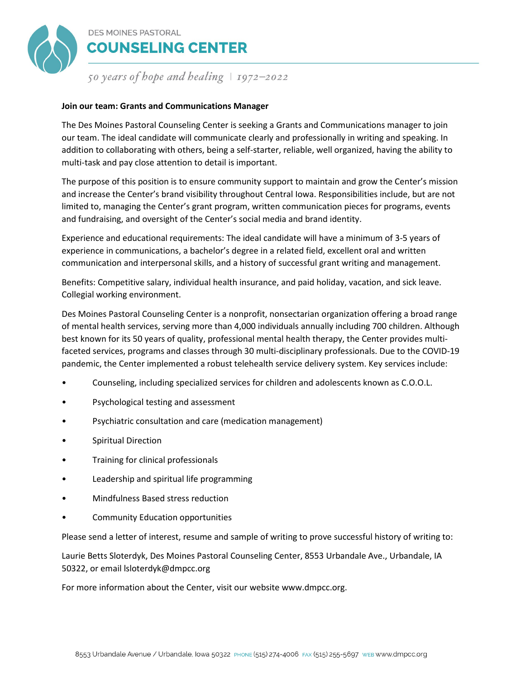

# **DES MOINES PASTORAL COUNSELING CENTER**

50 years of hope and healing  $\vert$  1972–2022

## **Join our team: Grants and Communications Manager**

The Des Moines Pastoral Counseling Center is seeking a Grants and Communications manager to join our team. The ideal candidate will communicate clearly and professionally in writing and speaking. In addition to collaborating with others, being a self-starter, reliable, well organized, having the ability to multi-task and pay close attention to detail is important.

The purpose of this position is to ensure community support to maintain and grow the Center's mission and increase the Center's brand visibility throughout Central Iowa. Responsibilities include, but are not limited to, managing the Center's grant program, written communication pieces for programs, events and fundraising, and oversight of the Center's social media and brand identity.

Experience and educational requirements: The ideal candidate will have a minimum of 3-5 years of experience in communications, a bachelor's degree in a related field, excellent oral and written communication and interpersonal skills, and a history of successful grant writing and management.

Benefits: Competitive salary, individual health insurance, and paid holiday, vacation, and sick leave. Collegial working environment.

Des Moines Pastoral Counseling Center is a nonprofit, nonsectarian organization offering a broad range of mental health services, serving more than 4,000 individuals annually including 700 children. Although best known for its 50 years of quality, professional mental health therapy, the Center provides multifaceted services, programs and classes through 30 multi-disciplinary professionals. Due to the COVID-19 pandemic, the Center implemented a robust telehealth service delivery system. Key services include:

- Counseling, including specialized services for children and adolescents known as C.O.O.L.
- Psychological testing and assessment
- Psychiatric consultation and care (medication management)
- Spiritual Direction
- Training for clinical professionals
- Leadership and spiritual life programming
- Mindfulness Based stress reduction
- Community Education opportunities

Please send a letter of interest, resume and sample of writing to prove successful history of writing to:

Laurie Betts Sloterdyk, Des Moines Pastoral Counseling Center, 8553 Urbandale Ave., Urbandale, IA 50322, or email lsloterdyk@dmpcc.org

For more information about the Center, visit our website www.dmpcc.org.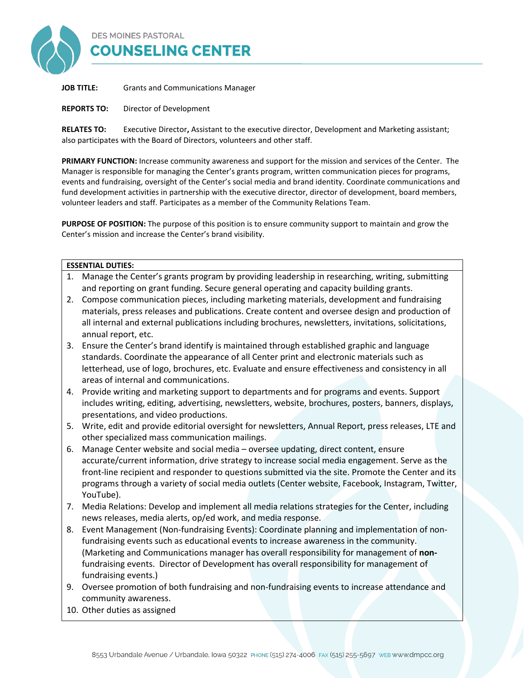

**JOB TITLE:** Grants and Communications Manager

**REPORTS TO:** Director of Development

**RELATES TO:** Executive Director**,** Assistant to the executive director, Development and Marketing assistant; also participates with the Board of Directors, volunteers and other staff.

**PRIMARY FUNCTION:** Increase community awareness and support for the mission and services of the Center. The Manager is responsible for managing the Center's grants program, written communication pieces for programs, events and fundraising, oversight of the Center's social media and brand identity. Coordinate communications and fund development activities in partnership with the executive director, director of development, board members, volunteer leaders and staff. Participates as a member of the Community Relations Team.

**PURPOSE OF POSITION:** The purpose of this position is to ensure community support to maintain and grow the Center's mission and increase the Center's brand visibility.

#### **ESSENTIAL DUTIES:**

- 1. Manage the Center's grants program by providing leadership in researching, writing, submitting and reporting on grant funding. Secure general operating and capacity building grants.
- 2. Compose communication pieces, including marketing materials, development and fundraising materials, press releases and publications. Create content and oversee design and production of all internal and external publications including brochures, newsletters, invitations, solicitations, annual report, etc.
- 3. Ensure the Center's brand identify is maintained through established graphic and language standards. Coordinate the appearance of all Center print and electronic materials such as letterhead, use of logo, brochures, etc. Evaluate and ensure effectiveness and consistency in all areas of internal and communications.
- 4. Provide writing and marketing support to departments and for programs and events. Support includes writing, editing, advertising, newsletters, website, brochures, posters, banners, displays, presentations, and video productions.
- 5. Write, edit and provide editorial oversight for newsletters, Annual Report, press releases, LTE and other specialized mass communication mailings.
- 6. Manage Center website and social media oversee updating, direct content, ensure accurate/current information, drive strategy to increase social media engagement. Serve as the front-line recipient and responder to questions submitted via the site. Promote the Center and its programs through a variety of social media outlets (Center website, Facebook, Instagram, Twitter, YouTube).
- 7. Media Relations: Develop and implement all media relations strategies for the Center, including news releases, media alerts, op/ed work, and media response.
- 8. Event Management (Non-fundraising Events): Coordinate planning and implementation of nonfundraising events such as educational events to increase awareness in the community. (Marketing and Communications manager has overall responsibility for management of **non**fundraising events. Director of Development has overall responsibility for management of fundraising events.)
- 9. Oversee promotion of both fundraising and non-fundraising events to increase attendance and community awareness.
- 10. Other duties as assigned